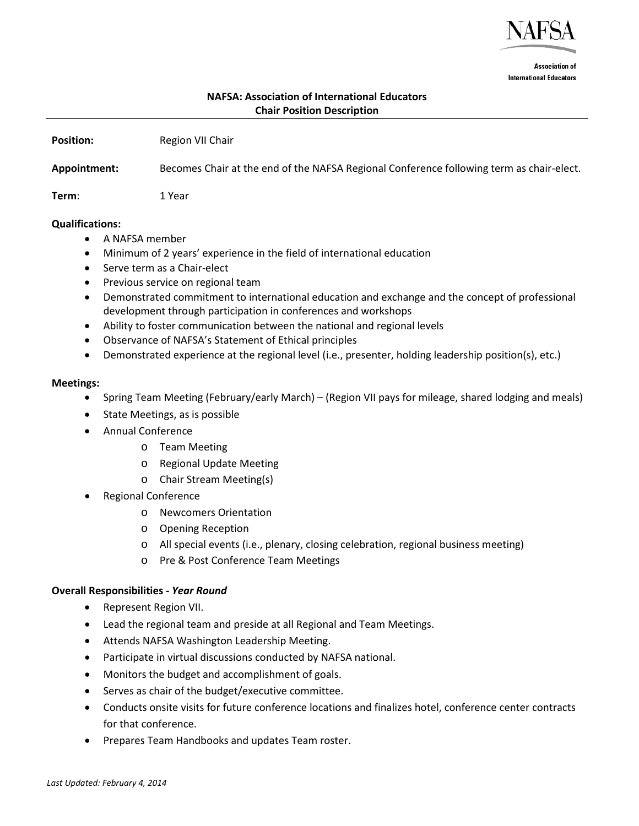

**Association of International Educators** 

# **NAFSA: Association of International Educators Chair Position Description**

**Position:** Region VII Chair

**Appointment:** Becomes Chair at the end of the NAFSA Regional Conference following term as chair-elect.

**Term**: 1 Year

#### **Qualifications:**

- A NAFSA member
- Minimum of 2 years' experience in the field of international education
- Serve term as a Chair-elect
- Previous service on regional team
- Demonstrated commitment to international education and exchange and the concept of professional development through participation in conferences and workshops
- Ability to foster communication between the national and regional levels
- Observance of NAFSA's Statement of Ethical principles
- Demonstrated experience at the regional level (i.e., presenter, holding leadership position(s), etc.)

#### **Meetings:**

- Spring Team Meeting (February/early March) (Region VII pays for mileage, shared lodging and meals)
- State Meetings, as is possible
- Annual Conference
	- o Team Meeting
	- o Regional Update Meeting
	- o Chair Stream Meeting(s)
- Regional Conference
	- o Newcomers Orientation
	- o Opening Reception
	- o All special events (i.e., plenary, closing celebration, regional business meeting)
	- o Pre & Post Conference Team Meetings

# **Overall Responsibilities** *- Year Round*

- Represent Region VII.
- Lead the regional team and preside at all Regional and Team Meetings.
- Attends NAFSA Washington Leadership Meeting.
- Participate in virtual discussions conducted by NAFSA national.
- Monitors the budget and accomplishment of goals.
- Serves as chair of the budget/executive committee.
- Conducts onsite visits for future conference locations and finalizes hotel, conference center contracts for that conference.
- Prepares Team Handbooks and updates Team roster.